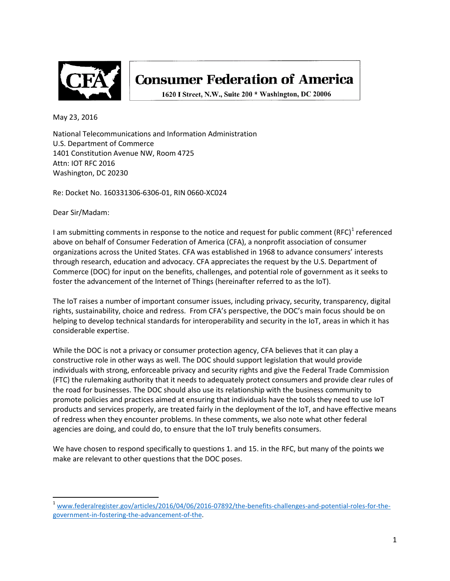

# **Consumer Federation of America**

1620 I Street, N.W., Suite 200 \* Washington, DC 20006

May 23, 2016

National Telecommunications and Information Administration U.S. Department of Commerce 1401 Constitution Avenue NW, Room 4725 Attn: IOT RFC 2016 Washington, DC 20230

Re: Docket No. 160331306-6306-01, RIN 0660-XC024

Dear Sir/Madam:

I am submitting comments in response to the notice and request for public comment  $(RFC)^T$  referenced above on behalf of Consumer Federation of America (CFA), a nonprofit association of consumer organizations across the United States. CFA was established in 1968 to advance consumers' interests through research, education and advocacy. CFA appreciates the request by the U.S. Department of Commerce (DOC) for input on the benefits, challenges, and potential role of government as it seeks to foster the advancement of the Internet of Things (hereinafter referred to as the IoT).

The IoT raises a number of important consumer issues, including privacy, security, transparency, digital rights, sustainability, choice and redress. From CFA's perspective, the DOC's main focus should be on helping to develop technical standards for interoperability and security in the IoT, areas in which it has considerable expertise.

While the DOC is not a privacy or consumer protection agency, CFA believes that it can play a constructive role in other ways as well. The DOC should support legislation that would provide individuals with strong, enforceable privacy and security rights and give the Federal Trade Commission (FTC) the rulemaking authority that it needs to adequately protect consumers and provide clear rules of the road for businesses. The DOC should also use its relationship with the business community to promote policies and practices aimed at ensuring that individuals have the tools they need to use IoT products and services properly, are treated fairly in the deployment of the IoT, and have effective means of redress when they encounter problems. In these comments, we also note what other federal agencies are doing, and could do, to ensure that the IoT truly benefits consumers.

We have chosen to respond specifically to questions 1. and 15. in the RFC, but many of the points we make are relevant to other questions that the DOC poses.

<span id="page-0-0"></span><sup>&</sup>lt;sup>1</sup> [www.federalregister.gov/articles/2016/04/06/2016-07892/the-benefits-challenges-and-potential-roles-for-the](http://www.federalregister.gov/articles/2016/04/06/2016-07892/the-benefits-challenges-and-potential-roles-for-the-government-in-fostering-the-advancement-of-the)[government-in-fostering-the-advancement-of-the.](http://www.federalregister.gov/articles/2016/04/06/2016-07892/the-benefits-challenges-and-potential-roles-for-the-government-in-fostering-the-advancement-of-the)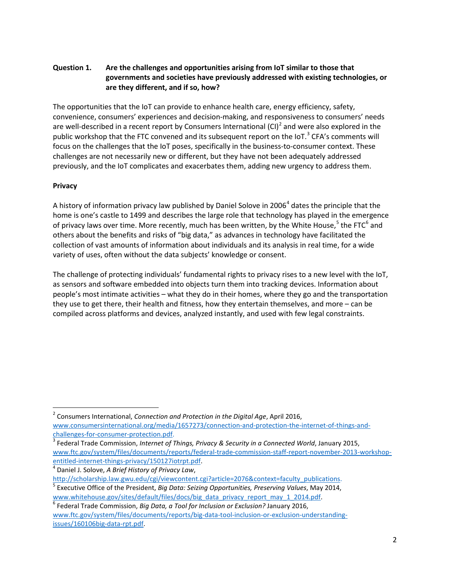#### **Question 1. Are the challenges and opportunities arising from IoT similar to those that governments and societies have previously addressed with existing technologies, or are they different, and if so, how?**

The opportunities that the IoT can provide to enhance health care, energy efficiency, safety, convenience, consumers' experiences and decision-making, and responsiveness to consumers' needs are well-described in a recent report by Consumers International  $|Cl|^2$  $|Cl|^2$  and were also explored in the public workshop that the FTC convened and its subsequent report on the IoT. $3$  CFA's comments will focus on the challenges that the IoT poses, specifically in the business-to-consumer context. These challenges are not necessarily new or different, but they have not been adequately addressed previously, and the IoT complicates and exacerbates them, adding new urgency to address them.

# **Privacy**

A history of information privacy law published by Daniel Solove in 2006<sup>[4](#page-1-2)</sup> dates the principle that the home is one's castle to 1499 and describes the large role that technology has played in the emergence of privacy laws over time. More recently, much has been written, by the White House,<sup>[5](#page-1-3)</sup> the FTC<sup>[6](#page-1-4)</sup> and others about the benefits and risks of "big data," as advances in technology have facilitated the collection of vast amounts of information about individuals and its analysis in real time, for a wide variety of uses, often without the data subjects' knowledge or consent.

The challenge of protecting individuals' fundamental rights to privacy rises to a new level with the IoT, as sensors and software embedded into objects turn them into tracking devices. Information about people's most intimate activities – what they do in their homes, where they go and the transportation they use to get there, their health and fitness, how they entertain themselves, and more – can be compiled across platforms and devices, analyzed instantly, and used with few legal constraints.

<span id="page-1-0"></span> <sup>2</sup> Consumers International, *Connection and Protection in the Digital Age*, April 2016, [www.consumersinternational.org/media/1657273/connection-and-protection-the-internet-of-things-and](http://www.consumersinternational.org/media/1657273/connection-and-protection-the-internet-of-things-and-challenges-for-consumer-protection.pdf)[challenges-for-consumer-protection.pdf.](http://www.consumersinternational.org/media/1657273/connection-and-protection-the-internet-of-things-and-challenges-for-consumer-protection.pdf)<br><sup>3</sup> Federal Trade Commission, *Internet of Things, Privacy & Security in a Connected World*, January 2015,

<span id="page-1-1"></span>[www.ftc.gov/system/files/documents/reports/federal-trade-commission-staff-report-november-2013-workshop](http://www.ftc.gov/system/files/documents/reports/federal-trade-commission-staff-report-november-2013-workshop-entitled-internet-things-privacy/150127iotrpt.pdf)[entitled-internet-things-privacy/150127iotrpt.pdf.](http://www.ftc.gov/system/files/documents/reports/federal-trade-commission-staff-report-november-2013-workshop-entitled-internet-things-privacy/150127iotrpt.pdf) <sup>4</sup> Daniel J. Solove, *A Brief History of Privacy Law*,

<span id="page-1-2"></span>

[http://scholarship.law.gwu.edu/cgi/viewcontent.cgi?article=2076&context=faculty\\_publications.](http://scholarship.law.gwu.edu/cgi/viewcontent.cgi?article=2076&context=faculty_publications)<br><sup>[5](http://scholarship.law.gwu.edu/cgi/viewcontent.cgi?article=2076&context=faculty_publications)</sup> Executive Office of the President, *Big Data: Seizing Opportunities, Preserving Values*, May 2014,

<span id="page-1-4"></span><span id="page-1-3"></span>[www.whitehouse.gov/sites/default/files/docs/big\\_data\\_privacy\\_report\\_may\\_1\\_2014.pdf.](http://www.whitehouse.gov/sites/default/files/docs/big_data_privacy_report_may_1_2014.pdf)<br><sup>6</sup> Federal Trade Commission, *Big Data, a Tool for Inclusion or Exclusion?* January 2016, [www.ftc.gov/system/files/documents/reports/big-data-tool-inclusion-or-exclusion-understanding](http://www.ftc.gov/system/files/documents/reports/big-data-tool-inclusion-or-exclusion-understanding-issues/160106big-data-rpt.pdf)[issues/160106big-data-rpt.pdf.](http://www.ftc.gov/system/files/documents/reports/big-data-tool-inclusion-or-exclusion-understanding-issues/160106big-data-rpt.pdf)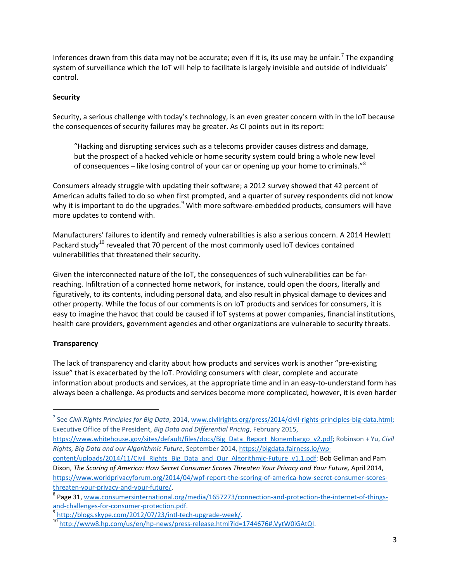Inferences drawn from this data may not be accurate; even if it is, its use may be unfair.<sup>[7](#page-2-0)</sup> The expanding system of surveillance which the IoT will help to facilitate is largely invisible and outside of individuals' control.

#### **Security**

Security, a serious challenge with today's technology, is an even greater concern with in the IoT because the consequences of security failures may be greater. As CI points out in its report:

"Hacking and disrupting services such as a telecoms provider causes distress and damage, but the prospect of a hacked vehicle or home security system could bring a whole new level of consequences – like losing control of your car or opening up your home to criminals."<sup>[8](#page-2-1)</sup>

Consumers already struggle with updating their software; a 2012 survey showed that 42 percent of American adults failed to do so when first prompted, and a quarter of survey respondents did not know why it is important to do the upgrades.<sup>[9](#page-2-2)</sup> With more software-embedded products, consumers will have more updates to contend with.

Manufacturers' failures to identify and remedy vulnerabilities is also a serious concern. A 2014 Hewlett Packard study<sup>[10](#page-2-3)</sup> revealed that 70 percent of the most commonly used IoT devices contained vulnerabilities that threatened their security.

Given the interconnected nature of the IoT, the consequences of such vulnerabilities can be farreaching. Infiltration of a connected home network, for instance, could open the doors, literally and figuratively, to its contents, including personal data, and also result in physical damage to devices and other property. While the focus of our comments is on IoT products and services for consumers, it is easy to imagine the havoc that could be caused if IoT systems at power companies, financial institutions, health care providers, government agencies and other organizations are vulnerable to security threats.

# **Transparency**

The lack of transparency and clarity about how products and services work is another "pre-existing issue" that is exacerbated by the IoT. Providing consumers with clear, complete and accurate information about products and services, at the appropriate time and in an easy-to-understand form has always been a challenge. As products and services become more complicated, however, it is even harder

[content/uploads/2014/11/Civil\\_Rights\\_Big\\_Data\\_and\\_Our\\_Algorithmic-Future\\_v1.1.pdf;](https://bigdata.fairness.io/wp-content/uploads/2014/11/Civil_Rights_Big_Data_and_Our_Algorithmic-Future_v1.1.pdf) Bob Gellman and Pam Dixon, *The Scoring of America: How Secret Consumer Scores Threaten Your Privacy and Your Future,* April 2014, [https://www.worldprivacyforum.org/2014/04/wpf-report-the-scoring-of-america-how-secret-consumer-scores-](https://www.worldprivacyforum.org/2014/04/wpf-report-the-scoring-of-america-how-secret-consumer-scores-threaten-your-privacy-and-your-future/)

[threaten-your-privacy-and-your-future/.](https://www.worldprivacyforum.org/2014/04/wpf-report-the-scoring-of-america-how-secret-consumer-scores-threaten-your-privacy-and-your-future/)

<span id="page-2-0"></span> <sup>7</sup> See *Civil Rights Principles for Big Data*, 2014, [www.civilrights.org/press/2014/civil-rights-principles-big-data.html;](http://www.civilrights.org/press/2014/civil-rights-principles-big-data.html) Executive Office of the President, *Big Data and Differential Pricing*, February 2015,

[https://www.whitehouse.gov/sites/default/files/docs/Big\\_Data\\_Report\\_Nonembargo\\_v2.pdf;](https://www.whitehouse.gov/sites/default/files/docs/Big_Data_Report_Nonembargo_v2.pdf) Robinson + Yu, *Civil Rights, Big Data and our Algorithmic Future*, September 2014[, https://bigdata.fairness.io/wp-](https://bigdata.fairness.io/wp-content/uploads/2014/11/Civil_Rights_Big_Data_and_Our_Algorithmic-Future_v1.1.pdf)

<span id="page-2-1"></span><sup>&</sup>lt;sup>8</sup> Page 31, <u>www.consumersinternational.org/media/1657273/connection-and-protection-the-internet-of-things-<br>and-challenges-for-consumer-protection.pdf.<br> $\frac{9 \text{ bits to } (6.848 \text{ kg})}{2 \text{ bits to } (2.848 \text{ kg})}$ </u>

<span id="page-2-3"></span><span id="page-2-2"></span>

<sup>&</sup>lt;sup>9</sup> [http://blogs.skype.com/2012/07/23/intl-tech-upgrade-week/.](http://blogs.skype.com/2012/07/23/intl-tech-upgrade-week/)<br><sup>10</sup> [http://www8.hp.com/us/en/hp-news/press-release.html?id=1744676#.VytW0iGAtQI.](http://www8.hp.com/us/en/hp-news/press-release.html?id=1744676#.VytW0iGAtQI)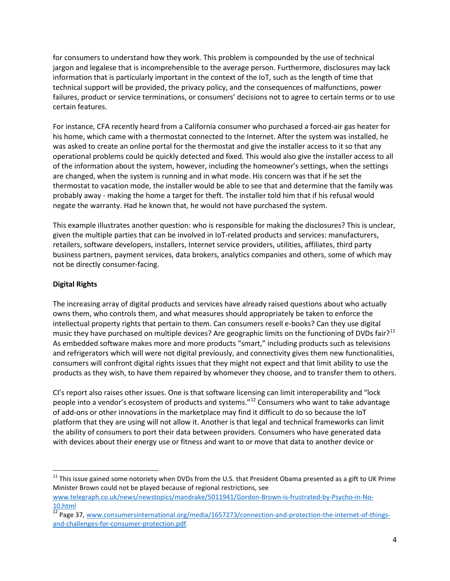for consumers to understand how they work. This problem is compounded by the use of technical jargon and legalese that is incomprehensible to the average person. Furthermore, disclosures may lack information that is particularly important in the context of the IoT, such as the length of time that technical support will be provided, the privacy policy, and the consequences of malfunctions, power failures, product or service terminations, or consumers' decisions not to agree to certain terms or to use certain features.

For instance, CFA recently heard from a California consumer who purchased a forced-air gas heater for his home, which came with a thermostat connected to the Internet. After the system was installed, he was asked to create an online portal for the thermostat and give the installer access to it so that any operational problems could be quickly detected and fixed. This would also give the installer access to all of the information about the system, however, including the homeowner's settings, when the settings are changed, when the system is running and in what mode. His concern was that if he set the thermostat to vacation mode, the installer would be able to see that and determine that the family was probably away - making the home a target for theft. The installer told him that if his refusal would negate the warranty. Had he known that, he would not have purchased the system.

This example illustrates another question: who is responsible for making the disclosures? This is unclear, given the multiple parties that can be involved in IoT-related products and services: manufacturers, retailers, software developers, installers, Internet service providers, utilities, affiliates, third party business partners, payment services, data brokers, analytics companies and others, some of which may not be directly consumer-facing.

# **Digital Rights**

The increasing array of digital products and services have already raised questions about who actually owns them, who controls them, and what measures should appropriately be taken to enforce the intellectual property rights that pertain to them. Can consumers resell e-books? Can they use digital music they have purchased on multiple devices? Are geographic limits on the functioning of DVDs fair?<sup>[11](#page-3-0)</sup> As embedded software makes more and more products "smart," including products such as televisions and refrigerators which will were not digital previously, and connectivity gives them new functionalities, consumers will confront digital rights issues that they might not expect and that limit ability to use the products as they wish, to have them repaired by whomever they choose, and to transfer them to others.

CI's report also raises other issues. One is that software licensing can limit interoperability and "lock people into a vendor's ecosystem of products and systems."[12](#page-3-1) Consumers who want to take advantage of add-ons or other innovations in the marketplace may find it difficult to do so because the IoT platform that they are using will not allow it. Another is that legal and technical frameworks can limit the ability of consumers to port their data between providers. Consumers who have generated data with devices about their energy use or fitness and want to or move that data to another device or

<span id="page-3-0"></span> $11$  This issue gained some notoriety when DVDs from the U.S. that President Obama presented as a gift to UK Prime Minister Brown could not be played because of regional restrictions, see

[www.telegraph.co.uk/news/newstopics/mandrake/5011941/Gordon-Brown-is-frustrated-by-Psycho-in-No-](http://www.telegraph.co.uk/news/newstopics/mandrake/5011941/Gordon-Brown-is-frustrated-by-Psycho-in-No-10.html)

<span id="page-3-1"></span><sup>10.</sup>html<br><sup>12</sup> Page 37, [www.consumersinternational.org/media/1657273/connection-and-protection-the-internet-of-things](http://www.consumersinternational.org/media/1657273/connection-and-protection-the-internet-of-things-and-challenges-for-consumer-protection.pdf)[and-challenges-for-consumer-protection.pdf.](http://www.consumersinternational.org/media/1657273/connection-and-protection-the-internet-of-things-and-challenges-for-consumer-protection.pdf)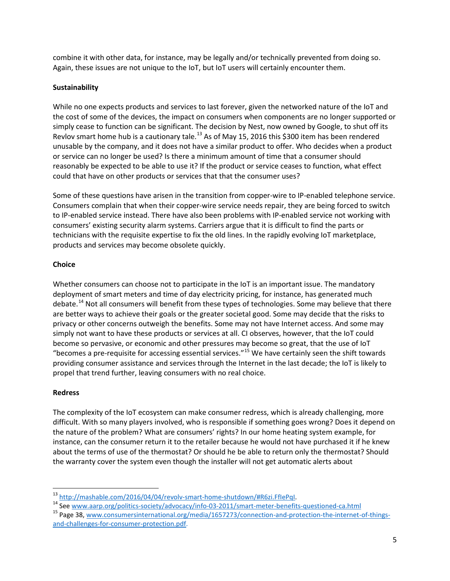combine it with other data, for instance, may be legally and/or technically prevented from doing so. Again, these issues are not unique to the IoT, but IoT users will certainly encounter them.

# **Sustainability**

While no one expects products and services to last forever, given the networked nature of the IoT and the cost of some of the devices, the impact on consumers when components are no longer supported or simply cease to function can be significant. The decision by Nest, now owned by Google, to shut off its Revlov smart home hub is a cautionary tale.<sup>[13](#page-4-0)</sup> As of May 15, 2016 this \$300 item has been rendered unusable by the company, and it does not have a similar product to offer. Who decides when a product or service can no longer be used? Is there a minimum amount of time that a consumer should reasonably be expected to be able to use it? If the product or service ceases to function, what effect could that have on other products or services that that the consumer uses?

Some of these questions have arisen in the transition from copper-wire to IP-enabled telephone service. Consumers complain that when their copper-wire service needs repair, they are being forced to switch to IP-enabled service instead. There have also been problems with IP-enabled service not working with consumers' existing security alarm systems. Carriers argue that it is difficult to find the parts or technicians with the requisite expertise to fix the old lines. In the rapidly evolving IoT marketplace, products and services may become obsolete quickly.

#### **Choice**

Whether consumers can choose not to participate in the IoT is an important issue. The mandatory deployment of smart meters and time of day electricity pricing, for instance, has generated much debate.<sup>[14](#page-4-1)</sup> Not all consumers will benefit from these types of technologies. Some may believe that there are better ways to achieve their goals or the greater societal good. Some may decide that the risks to privacy or other concerns outweigh the benefits. Some may not have Internet access. And some may simply not want to have these products or services at all. CI observes, however, that the IoT could become so pervasive, or economic and other pressures may become so great, that the use of IoT "becomes a pre-requisite for accessing essential services."[15](#page-4-2) We have certainly seen the shift towards providing consumer assistance and services through the Internet in the last decade; the IoT is likely to propel that trend further, leaving consumers with no real choice.

#### **Redress**

The complexity of the IoT ecosystem can make consumer redress, which is already challenging, more difficult. With so many players involved, who is responsible if something goes wrong? Does it depend on the nature of the problem? What are consumers' rights? In our home heating system example, for instance, can the consumer return it to the retailer because he would not have purchased it if he knew about the terms of use of the thermostat? Or should he be able to return only the thermostat? Should the warranty cover the system even though the installer will not get automatic alerts about

<span id="page-4-2"></span><span id="page-4-1"></span>

<span id="page-4-0"></span><sup>&</sup>lt;sup>13</sup> http://mashable.com/2016/04/04/revolv-smart-home-shutdown/#R6zi.FflePql.<br><sup>14</sup> Se[e www.aarp.org/politics-society/advocacy/info-03-2011/smart-meter-benefits-questioned-ca.html](http://www.aarp.org/politics-society/advocacy/info-03-2011/smart-meter-benefits-questioned-ca.html)<br><sup>15</sup> Page 38, www.consumersinternational.or [and-challenges-for-consumer-protection.pdf.](http://www.consumersinternational.org/media/1657273/connection-and-protection-the-internet-of-things-and-challenges-for-consumer-protection.pdf)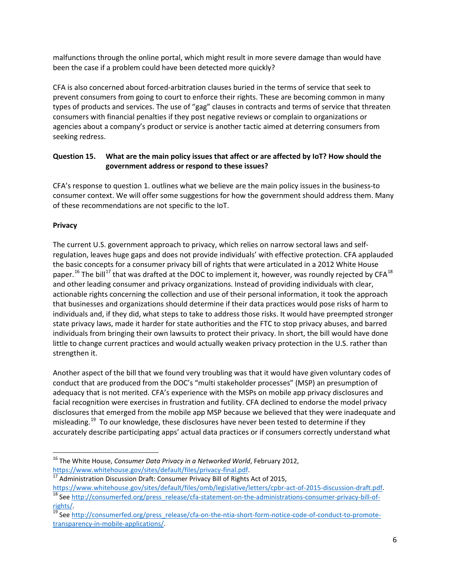malfunctions through the online portal, which might result in more severe damage than would have been the case if a problem could have been detected more quickly?

CFA is also concerned about forced-arbitration clauses buried in the terms of service that seek to prevent consumers from going to court to enforce their rights. These are becoming common in many types of products and services. The use of "gag" clauses in contracts and terms of service that threaten consumers with financial penalties if they post negative reviews or complain to organizations or agencies about a company's product or service is another tactic aimed at deterring consumers from seeking redress.

# **Question 15. What are the main policy issues that affect or are affected by IoT? How should the government address or respond to these issues?**

CFA's response to question 1. outlines what we believe are the main policy issues in the business-to consumer context. We will offer some suggestions for how the government should address them. Many of these recommendations are not specific to the IoT.

# **Privacy**

The current U.S. government approach to privacy, which relies on narrow sectoral laws and selfregulation, leaves huge gaps and does not provide individuals' with effective protection. CFA applauded the basic concepts for a consumer privacy bill of rights that were articulated in a 2012 White House paper.<sup>[16](#page-5-0)</sup> The bill<sup>[17](#page-5-1)</sup> that was drafted at the DOC to implement it, however, was roundly rejected by CFA<sup>[18](#page-5-2)</sup> and other leading consumer and privacy organizations. Instead of providing individuals with clear, actionable rights concerning the collection and use of their personal information, it took the approach that businesses and organizations should determine if their data practices would pose risks of harm to individuals and, if they did, what steps to take to address those risks. It would have preempted stronger state privacy laws, made it harder for state authorities and the FTC to stop privacy abuses, and barred individuals from bringing their own lawsuits to protect their privacy. In short, the bill would have done little to change current practices and would actually weaken privacy protection in the U.S. rather than strengthen it.

Another aspect of the bill that we found very troubling was that it would have given voluntary codes of conduct that are produced from the DOC's "multi stakeholder processes" (MSP) an presumption of adequacy that is not merited. CFA's experience with the MSPs on mobile app privacy disclosures and facial recognition were exercises in frustration and futility. CFA declined to endorse the model privacy disclosures that emerged from the mobile app MSP because we believed that they were inadequate and misleading.<sup>[19](#page-5-3)</sup> To our knowledge, these disclosures have never been tested to determine if they accurately describe participating apps' actual data practices or if consumers correctly understand what

<span id="page-5-0"></span> <sup>16</sup> The White House, *Consumer Data Privacy in a Networked World*, February 2012, [https://www.whitehouse.gov/sites/default/files/privacy-final.pdf.](https://www.whitehouse.gov/sites/default/files/privacy-final.pdf)<br><sup>17</sup> Administration Discussion Draft: Consumer Privacy Bill of Rights Act of 2015,

<span id="page-5-1"></span>[https://www.whitehouse.gov/sites/default/files/omb/legislative/letters/cpbr-act-of-2015-discussion-draft.pdf.](https://www.whitehouse.gov/sites/default/files/omb/legislative/letters/cpbr-act-of-2015-discussion-draft.pdf)<br><sup>18</sup> Se[e http://consumerfed.org/press\\_release/cfa-statement-on-the-administrations-consumer-privacy-bill-of-](http://consumerfed.org/press_release/cfa-statement-on-the-administrations-consumer-privacy-bill-of-rights/)

<span id="page-5-2"></span>[rights/.](http://consumerfed.org/press_release/cfa-statement-on-the-administrations-consumer-privacy-bill-of-rights/)<br><sup>19</sup> Se[e http://consumerfed.org/press\\_release/cfa-on-the-ntia-short-form-notice-code-of-conduct-to-promote-](http://consumerfed.org/press_release/cfa-on-the-ntia-short-form-notice-code-of-conduct-to-promote-transparency-in-mobile-applications/)

<span id="page-5-3"></span>[transparency-in-mobile-applications/.](http://consumerfed.org/press_release/cfa-on-the-ntia-short-form-notice-code-of-conduct-to-promote-transparency-in-mobile-applications/)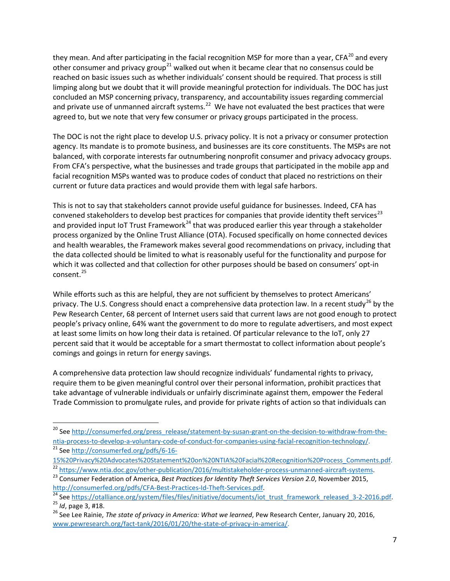they mean. And after participating in the facial recognition MSP for more than a year,  $CFA^{20}$  $CFA^{20}$  $CFA^{20}$  and every other consumer and privacy group<sup>[21](#page-6-1)</sup> walked out when it became clear that no consensus could be reached on basic issues such as whether individuals' consent should be required. That process is still limping along but we doubt that it will provide meaningful protection for individuals. The DOC has just concluded an MSP concerning privacy, transparency, and accountability issues regarding commercial and private use of unmanned aircraft systems.<sup>[22](#page-6-2)</sup> We have not evaluated the best practices that were agreed to, but we note that very few consumer or privacy groups participated in the process.

The DOC is not the right place to develop U.S. privacy policy. It is not a privacy or consumer protection agency. Its mandate is to promote business, and businesses are its core constituents. The MSPs are not balanced, with corporate interests far outnumbering nonprofit consumer and privacy advocacy groups. From CFA's perspective, what the businesses and trade groups that participated in the mobile app and facial recognition MSPs wanted was to produce codes of conduct that placed no restrictions on their current or future data practices and would provide them with legal safe harbors.

This is not to say that stakeholders cannot provide useful guidance for businesses. Indeed, CFA has convened stakeholders to develop best practices for companies that provide identity theft services<sup>[23](#page-6-3)</sup> and provided input IoT Trust Framework<sup>[24](#page-6-4)</sup> that was produced earlier this year through a stakeholder process organized by the Online Trust Alliance (OTA). Focused specifically on home connected devices and health wearables, the Framework makes several good recommendations on privacy, including that the data collected should be limited to what is reasonably useful for the functionality and purpose for which it was collected and that collection for other purposes should be based on consumers' opt-in consent.<sup>25</sup>

While efforts such as this are helpful, they are not sufficient by themselves to protect Americans' privacy. The U.S. Congress should enact a comprehensive data protection law. In a recent study<sup>[26](#page-6-6)</sup> by the Pew Research Center, 68 percent of Internet users said that current laws are not good enough to protect people's privacy online, 64% want the government to do more to regulate advertisers, and most expect at least some limits on how long their data is retained. Of particular relevance to the IoT, only 27 percent said that it would be acceptable for a smart thermostat to collect information about people's comings and goings in return for energy savings.

A comprehensive data protection law should recognize individuals' fundamental rights to privacy, require them to be given meaningful control over their personal information, prohibit practices that take advantage of vulnerable individuals or unfairly discriminate against them, empower the Federal Trade Commission to promulgate rules, and provide for private rights of action so that individuals can

<span id="page-6-0"></span><sup>&</sup>lt;sup>20</sup> See [http://consumerfed.org/press\\_release/statement-by-susan-grant-on-the-decision-to-withdraw-from-the](http://consumerfed.org/press_release/statement-by-susan-grant-on-the-decision-to-withdraw-from-the-ntia-process-to-develop-a-voluntary-code-of-conduct-for-companies-using-facial-recognition-technology/)[ntia-process-to-develop-a-voluntary-code-of-conduct-for-companies-using-facial-recognition-technology/.](http://consumerfed.org/press_release/statement-by-susan-grant-on-the-decision-to-withdraw-from-the-ntia-process-to-develop-a-voluntary-code-of-conduct-for-companies-using-facial-recognition-technology/) <sup>21</sup> Se[e http://consumerfed.org/pdfs/6-16-](http://consumerfed.org/pdfs/6-16-15%20Privacy%20Advocates%20Statement%20on%20NTIA%20Facial%20Recognition%20Process_Comments.pdf)

<span id="page-6-1"></span>[<sup>15%20</sup>Privacy%20Advocates%20Statement%20on%20NTIA%20Facial%20Recognition%20Process\\_Comments.pdf.](http://consumerfed.org/pdfs/6-16-15%20Privacy%20Advocates%20Statement%20on%20NTIA%20Facial%20Recognition%20Process_Comments.pdf)

<span id="page-6-2"></span><sup>&</sup>lt;sup>22</sup> [https://www.ntia.doc.gov/other-publication/2016/multistakeholder-process-unmanned-aircraft-systems.](https://www.ntia.doc.gov/other-publication/2016/multistakeholder-process-unmanned-aircraft-systems)<br><sup>23</sup> Consumer Federation of America, *Best Practices for Identity Theft Services Version 2.0*, November 2015,

<span id="page-6-4"></span><span id="page-6-3"></span>[http://consumerfed.org/pdfs/CFA-Best-Practices-Id-Theft-Services.pdf.](http://consumerfed.org/pdfs/CFA-Best-Practices-Id-Theft-Services.pdf)<br>
<sup>[24](http://consumerfed.org/pdfs/CFA-Best-Practices-Id-Theft-Services.pdf)</sup> See https://otalliance.org/system/files/files/initiative/documents/iot trust framework released 3-2-2016.pdf.<br>
<sup>25</sup> Id, page 3, #18.<br>
<sup>26</sup> See Lee

<span id="page-6-6"></span><span id="page-6-5"></span>[www.pewresearch.org/fact-tank/2016/01/20/the-state-of-privacy-in-america/.](http://www.pewresearch.org/fact-tank/2016/01/20/the-state-of-privacy-in-america/)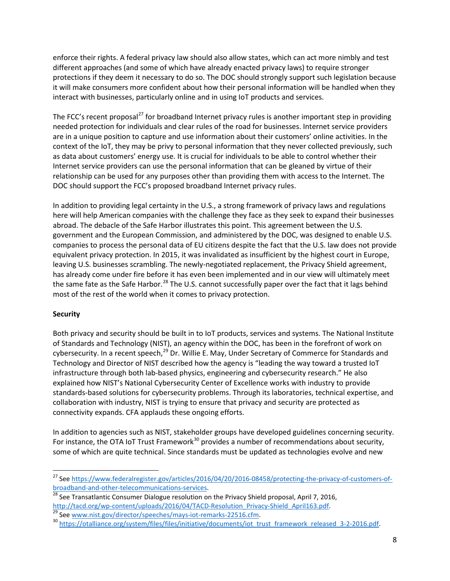enforce their rights. A federal privacy law should also allow states, which can act more nimbly and test different approaches (and some of which have already enacted privacy laws) to require stronger protections if they deem it necessary to do so. The DOC should strongly support such legislation because it will make consumers more confident about how their personal information will be handled when they interact with businesses, particularly online and in using IoT products and services.

The FCC's recent proposal<sup>[27](#page-7-0)</sup> for broadband Internet privacy rules is another important step in providing needed protection for individuals and clear rules of the road for businesses. Internet service providers are in a unique position to capture and use information about their customers' online activities. In the context of the IoT, they may be privy to personal information that they never collected previously, such as data about customers' energy use. It is crucial for individuals to be able to control whether their Internet service providers can use the personal information that can be gleaned by virtue of their relationship can be used for any purposes other than providing them with access to the Internet. The DOC should support the FCC's proposed broadband Internet privacy rules.

In addition to providing legal certainty in the U.S., a strong framework of privacy laws and regulations here will help American companies with the challenge they face as they seek to expand their businesses abroad. The debacle of the Safe Harbor illustrates this point. This agreement between the U.S. government and the European Commission, and administered by the DOC, was designed to enable U.S. companies to process the personal data of EU citizens despite the fact that the U.S. law does not provide equivalent privacy protection. In 2015, it was invalidated as insufficient by the highest court in Europe, leaving U.S. businesses scrambling. The newly-negotiated replacement, the Privacy Shield agreement, has already come under fire before it has even been implemented and in our view will ultimately meet the same fate as the Safe Harbor.<sup>[28](#page-7-1)</sup> The U.S. cannot successfully paper over the fact that it lags behind most of the rest of the world when it comes to privacy protection.

# **Security**

Both privacy and security should be built in to IoT products, services and systems. The National Institute of Standards and Technology (NIST), an agency within the DOC, has been in the forefront of work on cybersecurity. In a recent speech,<sup>[29](#page-7-2)</sup> Dr. Willie E. May, Under Secretary of Commerce for Standards and Technology and Director of NIST described how the agency is "leading the way toward a trusted IoT infrastructure through both lab-based physics, engineering and cybersecurity research." He also explained how NIST's National Cybersecurity Center of Excellence works with industry to provide standards-based solutions for cybersecurity problems. Through its laboratories, technical expertise, and collaboration with industry, NIST is trying to ensure that privacy and security are protected as connectivity expands. CFA applauds these ongoing efforts.

In addition to agencies such as NIST, stakeholder groups have developed guidelines concerning security. For instance, the OTA IoT Trust Framework<sup>[30](#page-7-3)</sup> provides a number of recommendations about security, some of which are quite technical. Since standards must be updated as technologies evolve and new

<span id="page-7-0"></span><sup>&</sup>lt;sup>27</sup> See https://www.federalregister.gov/articles/2016/04/20/2016-08458/protecting-the-privacy-of-customers-of-<br>broadband-and-other-telecommunications-services.

<span id="page-7-1"></span> $\frac{28}{28}$  $\frac{28}{28}$  $\frac{28}{28}$  See Transatlantic Consumer Dialogue resolution on the Privacy Shield proposal, April 7, 2016, http://tacd.org/wp-content/uploads/2016/04/TACD-Resolution Privacy-Shield April163.pdf.

<span id="page-7-3"></span><span id="page-7-2"></span><sup>30&</sup>lt;br>30 See www.nist.gov/director/speeches/mays-iot-remarks-22516.cfm<br>30 [https://otalliance.org/system/files/files/initiative/documents/iot\\_trust\\_framework\\_released\\_3-2-2016.pdf.](https://otalliance.org/system/files/files/initiative/documents/iot_trust_framework_released_3-2-2016.pdf)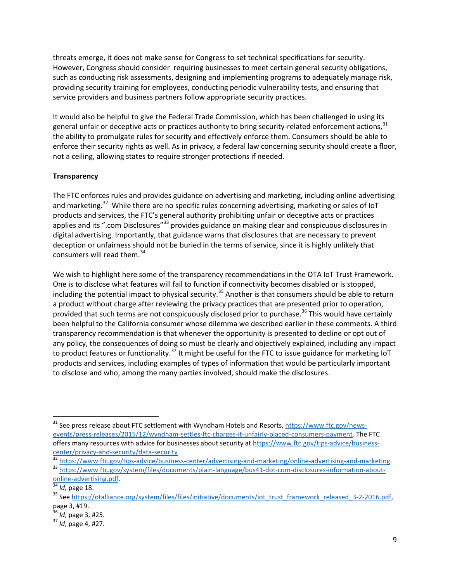threats emerge, it does not make sense for Congress to set technical specifications for security. However, Congress should consider requiring businesses to meet certain general security obligations, such as conducting risk assessments, designing and implementing programs to adequately manage risk, providing security training for employees, conducting periodic vulnerability tests, and ensuring that service providers and business partners follow appropriate security practices.

It would also be helpful to give the Federal Trade Commission, which has been challenged in using its general unfair or deceptive acts or practices authority to bring security-related enforcement actions, [31](#page-8-0) the ability to promulgate rules for security and effectively enforce them. Consumers should be able to enforce their security rights as well. As in privacy, a federal law concerning security should create a floor, not a ceiling, allowing states to require stronger protections if needed.

#### **Transparency**

The FTC enforces rules and provides guidance on advertising and marketing, including online advertising and marketing.<sup>[32](#page-8-1)</sup> While there are no specific rules concerning advertising, marketing or sales of IoT products and services, the FTC's general authority prohibiting unfair or deceptive acts or practices applies and its ".com Disclosures"<sup>[33](#page-8-2)</sup> provides guidance on making clear and conspicuous disclosures in digital advertising. Importantly, that guidance warns that disclosures that are necessary to prevent deception or unfairness should not be buried in the terms of service, since it is highly unlikely that consumers will read them.<sup>[34](#page-8-3)</sup>

We wish to highlight here some of the transparency recommendations in the OTA IoT Trust Framework. One is to disclose what features will fail to function if connectivity becomes disabled or is stopped, including the potential impact to physical security.<sup>[35](#page-8-4)</sup> Another is that consumers should be able to return a product without charge after reviewing the privacy practices that are presented prior to operation, provided that such terms are not conspicuously disclosed prior to purchase. [36](#page-8-5) This would have certainly been helpful to the California consumer whose dilemma we described earlier in these comments. A third transparency recommendation is that whenever the opportunity is presented to decline or opt out of any policy, the consequences of doing so must be clearly and objectively explained, including any impact to product features or functionality.<sup>[37](#page-8-6)</sup> It might be useful for the FTC to issue guidance for marketing IoT products and services, including examples of types of information that would be particularly important to disclose and who, among the many parties involved, should make the disclosures.

<span id="page-8-0"></span><sup>&</sup>lt;sup>31</sup> See press release about FTC settlement with Wyndham Hotels and Resorts, [https://www.ftc.gov/news](https://www.ftc.gov/news-events/press-releases/2015/12/wyndham-settles-ftc-charges-it-unfairly-placed-consumers-payment)[events/press-releases/2015/12/wyndham-settles-ftc-charges-it-unfairly-placed-consumers-payment.](https://www.ftc.gov/news-events/press-releases/2015/12/wyndham-settles-ftc-charges-it-unfairly-placed-consumers-payment) The FTC offers many resources with advice for businesses about security at [https://www.ftc.gov/tips-advice/business-](https://www.ftc.gov/tips-advice/business-center/privacy-and-security/data-security)

<span id="page-8-2"></span><span id="page-8-1"></span>

[center/privacy-and-security/data-security](https://www.ftc.gov/tips-advice/business-center/privacy-and-security/data-security)<br>
<sup>32</sup> [https://www.ftc.gov/tips-advice/business-center/advertising-and-marketing/online-advertising-and-marketing.](https://www.ftc.gov/tips-advice/business-center/advertising-and-marketing/online-advertising-and-marketing)<br>
<sup>33</sup> https://www.ftc.gov/system/files/documents/plain-language/bu

<span id="page-8-3"></span>

<span id="page-8-4"></span><sup>&</sup>lt;sup>35</sup> Se[e https://otalliance.org/system/files/files/initiative/documents/iot\\_trust\\_framework\\_released\\_3-2-2016.pdf,](https://otalliance.org/system/files/files/initiative/documents/iot_trust_framework_released_3-2-2016.pdf)

<span id="page-8-6"></span><span id="page-8-5"></span>

page 3, #19. <sup>36</sup> *Id*, page 3, #25. <sup>37</sup> *Id*, page 4, #27.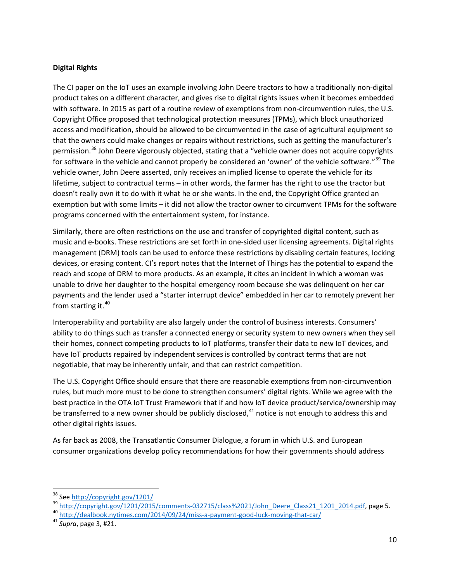#### **Digital Rights**

The CI paper on the IoT uses an example involving John Deere tractors to how a traditionally non-digital product takes on a different character, and gives rise to digital rights issues when it becomes embedded with software. In 2015 as part of a routine review of exemptions from non-circumvention rules, the U.S. Copyright Office proposed that technological protection measures (TPMs), which block unauthorized access and modification, should be allowed to be circumvented in the case of agricultural equipment so that the owners could make changes or repairs without restrictions, such as getting the manufacturer's permission.<sup>[38](#page-9-0)</sup> John Deere vigorously objected, stating that a "vehicle owner does not acquire copyrights for software in the vehicle and cannot properly be considered an 'owner' of the vehicle software."<sup>[39](#page-9-1)</sup> The vehicle owner, John Deere asserted, only receives an implied license to operate the vehicle for its lifetime, subject to contractual terms – in other words, the farmer has the right to use the tractor but doesn't really own it to do with it what he or she wants. In the end, the Copyright Office granted an exemption but with some limits – it did not allow the tractor owner to circumvent TPMs for the software programs concerned with the entertainment system, for instance.

Similarly, there are often restrictions on the use and transfer of copyrighted digital content, such as music and e-books. These restrictions are set forth in one-sided user licensing agreements. Digital rights management (DRM) tools can be used to enforce these restrictions by disabling certain features, locking devices, or erasing content. CI's report notes that the Internet of Things has the potential to expand the reach and scope of DRM to more products. As an example, it cites an incident in which a woman was unable to drive her daughter to the hospital emergency room because she was delinquent on her car payments and the lender used a "starter interrupt device" embedded in her car to remotely prevent her from starting it. $40$ 

Interoperability and portability are also largely under the control of business interests. Consumers' ability to do things such as transfer a connected energy or security system to new owners when they sell their homes, connect competing products to IoT platforms, transfer their data to new IoT devices, and have IoT products repaired by independent services is controlled by contract terms that are not negotiable, that may be inherently unfair, and that can restrict competition.

The U.S. Copyright Office should ensure that there are reasonable exemptions from non-circumvention rules, but much more must to be done to strengthen consumers' digital rights. While we agree with the best practice in the OTA IoT Trust Framework that if and how IoT device product/service/ownership may be transferred to a new owner should be publicly disclosed,  $41$  notice is not enough to address this and other digital rights issues.

As far back as 2008, the Transatlantic Consumer Dialogue, a forum in which U.S. and European consumer organizations develop policy recommendations for how their governments should address

<span id="page-9-1"></span><span id="page-9-0"></span><sup>&</sup>lt;sup>38</sup> Se[e http://copyright.gov/1201/](http://copyright.gov/1201/)<br><sup>39</sup> [http://copyright.gov/1201/2015/comments-032715/class%2021/John\\_Deere\\_Class21\\_1201\\_2014.pdf,](http://copyright.gov/1201/2015/comments-032715/class%2021/John_Deere_Class21_1201_2014.pdf) page 5.<br><sup>40</sup> http://dealbook.nytimes.com/2014/09/24/miss-a-payment-good-luck-moving-that-

<span id="page-9-2"></span>

<span id="page-9-3"></span>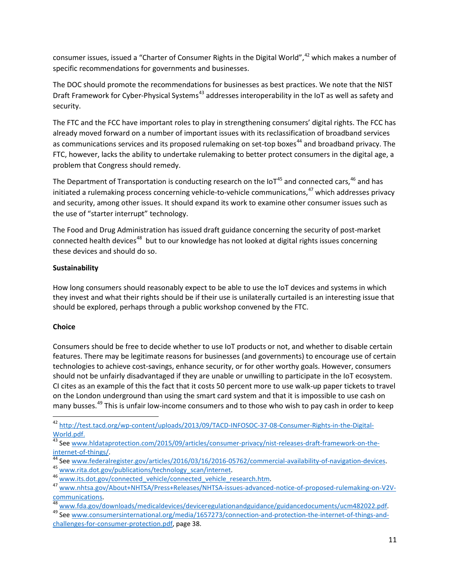consumer issues, issued a "Charter of Consumer Rights in the Digital World",<sup>[42](#page-10-0)</sup> which makes a number of specific recommendations for governments and businesses.

The DOC should promote the recommendations for businesses as best practices. We note that the NIST Draft Framework for Cyber-Physical Systems<sup>[43](#page-10-1)</sup> addresses interoperability in the IoT as well as safety and security.

The FTC and the FCC have important roles to play in strengthening consumers' digital rights. The FCC has already moved forward on a number of important issues with its reclassification of broadband services as communications services and its proposed rulemaking on set-top boxes<sup>[44](#page-10-2)</sup> and broadband privacy. The FTC, however, lacks the ability to undertake rulemaking to better protect consumers in the digital age, a problem that Congress should remedy.

The Department of Transportation is conducting research on the IoT<sup>[45](#page-10-3)</sup> and connected cars,  $46$  and has initiated a rulemaking process concerning vehicle-to-vehicle communications,<sup>[47](#page-10-5)</sup> which addresses privacy and security, among other issues. It should expand its work to examine other consumer issues such as the use of "starter interrupt" technology.

The Food and Drug Administration has issued draft guidance concerning the security of post-market connected health devices<sup>[48](#page-10-6)</sup> but to our knowledge has not looked at digital rights issues concerning these devices and should do so.

# **Sustainability**

How long consumers should reasonably expect to be able to use the IoT devices and systems in which they invest and what their rights should be if their use is unilaterally curtailed is an interesting issue that should be explored, perhaps through a public workshop convened by the FTC.

# **Choice**

Consumers should be free to decide whether to use IoT products or not, and whether to disable certain features. There may be legitimate reasons for businesses (and governments) to encourage use of certain technologies to achieve cost-savings, enhance security, or for other worthy goals. However, consumers should not be unfairly disadvantaged if they are unable or unwilling to participate in the IoT ecosystem. CI cites as an example of this the fact that it costs 50 percent more to use walk-up paper tickets to travel on the London underground than using the smart card system and that it is impossible to use cash on many busses.<sup>[49](#page-10-7)</sup> This is unfair low-income consumers and to those who wish to pay cash in order to keep

<span id="page-10-0"></span> <sup>42</sup> [http://test.tacd.org/wp-content/uploads/2013/09/TACD-INFOSOC-37-08-Consumer-Rights-in-the-Digital-](http://test.tacd.org/wp-content/uploads/2013/09/TACD-INFOSOC-37-08-Consumer-Rights-in-the-Digital-World.pdf)

[World.pdf.](http://test.tacd.org/wp-content/uploads/2013/09/TACD-INFOSOC-37-08-Consumer-Rights-in-the-Digital-World.pdf)<br><sup>43</sup> Se[e www.hldataprotection.com/2015/09/articles/consumer-privacy/nist-releases-draft-framework-on-the-](http://www.hldataprotection.com/2015/09/articles/consumer-privacy/nist-releases-draft-framework-on-the-internet-of-things/)

<span id="page-10-2"></span><span id="page-10-1"></span>internet-of-things/<br>
44 Se[e www.federalregister.gov/articles/2016/03/16/2016-05762/commercial-availability-of-navigation-devices.](http://www.federalregister.gov/articles/2016/03/16/2016-05762/commercial-availability-of-navigation-devices)<br>
45 [www.rita.dot.gov/publications/technology\\_scan/internet.](http://www.rita.dot.gov/publications/technology_scan/internet)<br>
46 www.its.dot.gov/connected\_ve

<span id="page-10-4"></span><span id="page-10-3"></span>

<span id="page-10-5"></span>

<span id="page-10-6"></span>[communications.](http://www.nhtsa.gov/About+NHTSA/Press+Releases/NHTSA-issues-advanced-notice-of-proposed-rulemaking-on-V2V-communications) <sup>48</sup> [www.fda.gov/downloads/medicaldevices/deviceregulationandguidance/guidancedocuments/ucm482022.pdf.](http://www.fda.gov/downloads/medicaldevices/deviceregulationandguidance/guidancedocuments/ucm482022.pdf) <sup>49</sup> Se[e www.consumersinternational.org/media/1657273/connection-and-protection-the-internet-of-things-and-](http://www.consumersinternational.org/media/1657273/connection-and-protection-the-internet-of-things-and-challenges-for-consumer-protection.pdf)

<span id="page-10-7"></span>[challenges-for-consumer-protection.pdf,](http://www.consumersinternational.org/media/1657273/connection-and-protection-the-internet-of-things-and-challenges-for-consumer-protection.pdf) page 38.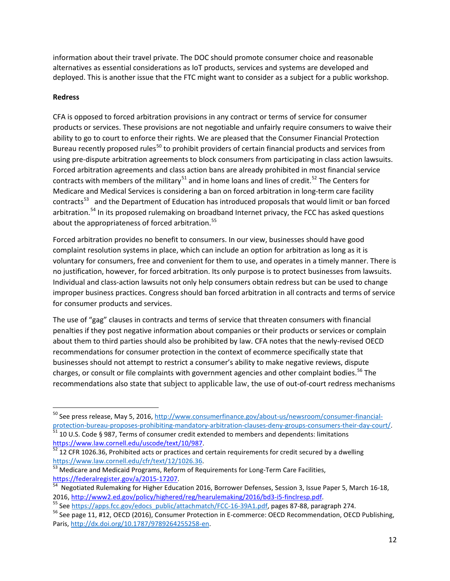information about their travel private. The DOC should promote consumer choice and reasonable alternatives as essential considerations as IoT products, services and systems are developed and deployed. This is another issue that the FTC might want to consider as a subject for a public workshop.

#### **Redress**

CFA is opposed to forced arbitration provisions in any contract or terms of service for consumer products or services. These provisions are not negotiable and unfairly require consumers to waive their ability to go to court to enforce their rights. We are pleased that the Consumer Financial Protection Bureau recently proposed rules<sup>[50](#page-11-0)</sup> to prohibit providers of certain financial products and services from using pre-dispute arbitration agreements to block consumers from participating in class action lawsuits. Forced arbitration agreements and class action bans are already prohibited in most financial service contracts with members of the military<sup>[51](#page-11-1)</sup> and in home loans and lines of credit.<sup>[52](#page-11-2)</sup> The Centers for Medicare and Medical Services is considering a ban on forced arbitration in long-term care facility contracts<sup>[53](#page-11-3)</sup> and the Department of Education has introduced proposals that would limit or ban forced arbitration.<sup>[54](#page-11-4)</sup> In its proposed rulemaking on broadband Internet privacy, the FCC has asked questions about the appropriateness of forced arbitration.<sup>55</sup>

Forced arbitration provides no benefit to consumers. In our view, businesses should have good complaint resolution systems in place, which can include an option for arbitration as long as it is voluntary for consumers, free and convenient for them to use, and operates in a timely manner. There is no justification, however, for forced arbitration. Its only purpose is to protect businesses from lawsuits. Individual and class-action lawsuits not only help consumers obtain redress but can be used to change improper business practices. Congress should ban forced arbitration in all contracts and terms of service for consumer products and services.

The use of "gag" clauses in contracts and terms of service that threaten consumers with financial penalties if they post negative information about companies or their products or services or complain about them to third parties should also be prohibited by law. CFA notes that the newly-revised OECD recommendations for consumer protection in the context of ecommerce specifically state that businesses should not attempt to restrict a consumer's ability to make negative reviews, dispute charges, or consult or file complaints with government agencies and other complaint bodies.<sup>[56](#page-11-6)</sup> The recommendations also state that subject to applicable law, the use of out-of-court redress mechanisms

<span id="page-11-0"></span><sup>&</sup>lt;sup>50</sup> See press release, May 5, 2016, http://www.consumerfinance.gov/about-us/newsroom/consumer-financial-<br>protection-bureau-proposes-prohibiting-mandatory-arbitration-clauses-deny-groups-consumers-their-day-court/. produced and proposes-proposes-proposes-<br>51 10 U.S. Code § 987, Terms of consumer credit extended to members and dependents: limitations

<span id="page-11-2"></span><span id="page-11-1"></span>[https://www.law.cornell.edu/uscode/text/10/987.](https://www.law.cornell.edu/uscode/text/10/987)<br><sup>52</sup> 12 CFR 1026.36, Prohibited acts or practices and certain requirements for credit secured by a dwelling<br>https://www.law.cornell.edu/cfr/text/12/1026.36.

<span id="page-11-3"></span><sup>&</sup>lt;sup>53</sup> Medicare and Medicaid Programs, Reform of Requirements for Long-Term Care Facilities, https://federalregister.gov/a/2015-17207.

<span id="page-11-4"></span>hegotiated Rulemaking for Higher Education 2016, Borrower Defenses, Session 3, Issue Paper 5, March 16-18, 2016, [http://www2.ed.gov/policy/highered/reg/hearulemaking/2016/bd3-i5-finclresp.pdf.](http://www2.ed.gov/policy/highered/reg/hearulemaking/2016/bd3-i5-finclresp.pdf)<br><sup>55</sup> Se[e https://apps.fcc.gov/edocs\\_public/attachmatch/FCC-16-39A1.pdf,](https://apps.fcc.gov/edocs_public/attachmatch/FCC-16-39A1.pdf) pages 87-88, paragraph 274.<br><sup>56</sup> See page 11, #12, OECD (2016),

<span id="page-11-6"></span><span id="page-11-5"></span>Paris[, http://dx.doi.org/10.1787/9789264255258-en.](http://dx.doi.org/10.1787/9789264255258-en)